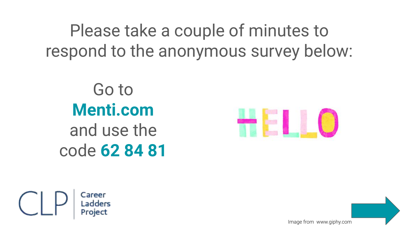Please take a couple of minutes to respond to the anonymous survey below:

Go to **Menti.com** and use the code **62 84 81**





Image from www.giphy.co[m](https://www.mentimeter.com/s/bf704257603ef59eb2c03f7d7b939c23)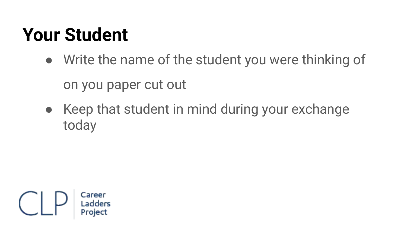#### **Your Student**

- Write the name of the student you were thinking of on you paper cut out
- Keep that student in mind during your exchange today

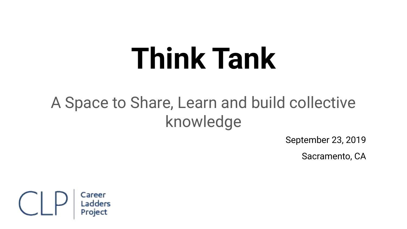# **Think Tank**

#### A Space to Share, Learn and build collective knowledge

September 23, 2019

Sacramento, CA

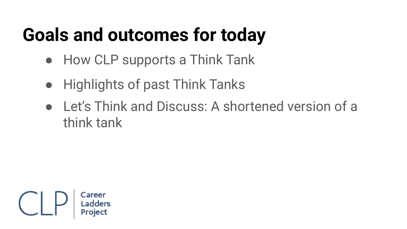### **Goals and outcomes for today**

- How CLP supports a Think Tank
- Highlights of past Think Tanks
- Let's Think and Discuss: A shortened version of a think tank

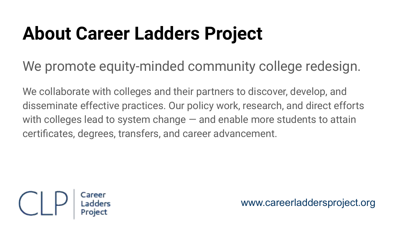#### **About Career Ladders Project**

We promote equity-minded community college redesign.

We collaborate with colleges and their partners to discover, develop, and disseminate effective practices. Our policy work, research, and direct efforts with colleges lead to system change – and enable more students to attain certificates, degrees, transfers, and career advancement.



www.careerladdersproject.org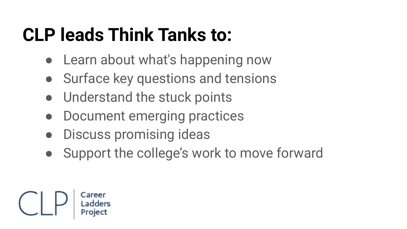### **CLP leads Think Tanks to:**

- Learn about what's happening now
- Surface key questions and tensions
- Understand the stuck points
- Document emerging practices
- **Discuss promising ideas**
- Support the college's work to move forward

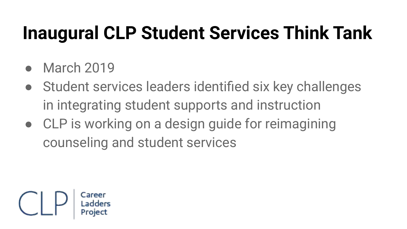#### **Inaugural CLP Student Services Think Tank**

- **March 2019**
- Student services leaders identified six key challenges in integrating student supports and instruction
- CLP is working on a design guide for reimagining counseling and student services

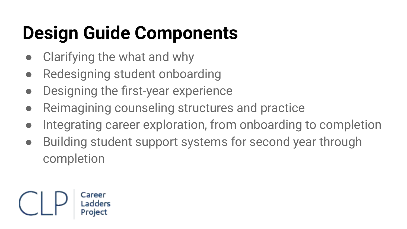### **Design Guide Components**

- Clarifying the what and why
- Redesigning student onboarding
- Designing the first-year experience
- Reimagining counseling structures and practice
- Integrating career exploration, from onboarding to completion
- Building student support systems for second year through completion

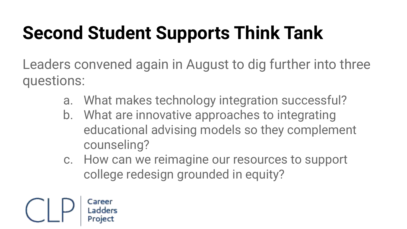### **Second Student Supports Think Tank**

Leaders convened again in August to dig further into three questions:

- a. What makes technology integration successful?
- b. What are innovative approaches to integrating educational advising models so they complement counseling?
- c. How can we reimagine our resources to support college redesign grounded in equity?

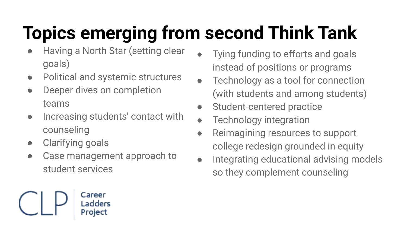## **Topics emerging from second Think Tank**

- Having a North Star (setting clear goals)
- Political and systemic structures
- Deeper dives on completion teams
- Increasing students' contact with counseling
- Clarifying goals
- Case management approach to student services

Career

Proiec

- Tying funding to efforts and goals instead of positions or programs
- Technology as a tool for connection (with students and among students)
- Student-centered practice
- **Technology integration**
- Reimagining resources to support college redesign grounded in equity
- Integrating educational advising models so they complement counseling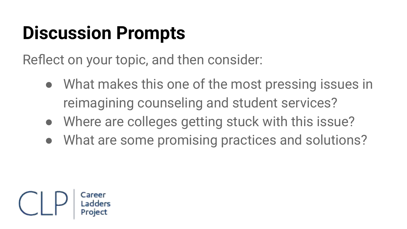#### **Discussion Prompts**

Reflect on your topic, and then consider:

- What makes this one of the most pressing issues in reimagining counseling and student services?
- Where are colleges getting stuck with this issue?
- What are some promising practices and solutions?

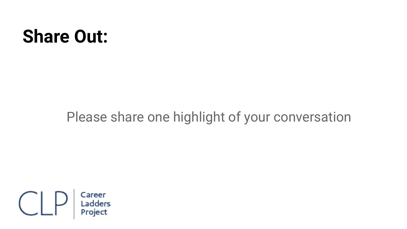#### **Share Out:**

#### Please share one highlight of your conversation

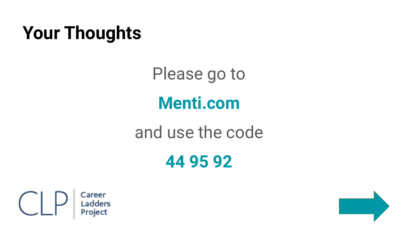#### **Your Thoughts**

Please go to **Menti.com** and use the code

**44 95 92**